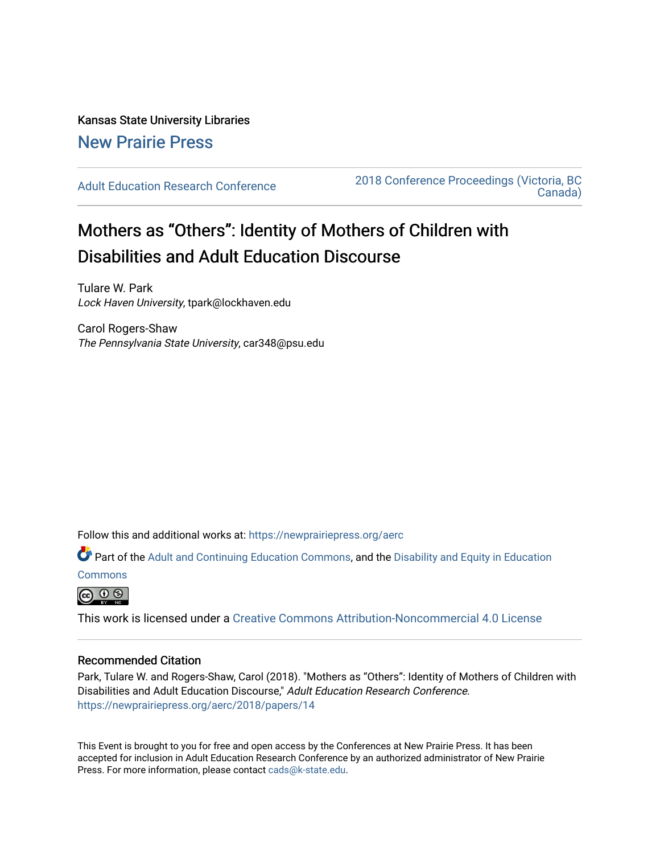# Kansas State University Libraries [New Prairie Press](https://newprairiepress.org/)

[Adult Education Research Conference](https://newprairiepress.org/aerc) [2018 Conference Proceedings \(Victoria, BC](https://newprairiepress.org/aerc/2018)  [Canada\)](https://newprairiepress.org/aerc/2018) 

# Mothers as "Others": Identity of Mothers of Children with Disabilities and Adult Education Discourse

Tulare W. Park Lock Haven University, tpark@lockhaven.edu

Carol Rogers-Shaw The Pennsylvania State University, car348@psu.edu

Follow this and additional works at: [https://newprairiepress.org/aerc](https://newprairiepress.org/aerc?utm_source=newprairiepress.org%2Faerc%2F2018%2Fpapers%2F14&utm_medium=PDF&utm_campaign=PDFCoverPages)

Part of the [Adult and Continuing Education Commons,](http://network.bepress.com/hgg/discipline/1375?utm_source=newprairiepress.org%2Faerc%2F2018%2Fpapers%2F14&utm_medium=PDF&utm_campaign=PDFCoverPages) and the [Disability and Equity in Education](http://network.bepress.com/hgg/discipline/1040?utm_source=newprairiepress.org%2Faerc%2F2018%2Fpapers%2F14&utm_medium=PDF&utm_campaign=PDFCoverPages)

**[Commons](http://network.bepress.com/hgg/discipline/1040?utm_source=newprairiepress.org%2Faerc%2F2018%2Fpapers%2F14&utm_medium=PDF&utm_campaign=PDFCoverPages)** 



This work is licensed under a [Creative Commons Attribution-Noncommercial 4.0 License](https://creativecommons.org/licenses/by-nc/4.0/)

## Recommended Citation

Park, Tulare W. and Rogers-Shaw, Carol (2018). "Mothers as "Others": Identity of Mothers of Children with Disabilities and Adult Education Discourse," Adult Education Research Conference. <https://newprairiepress.org/aerc/2018/papers/14>

This Event is brought to you for free and open access by the Conferences at New Prairie Press. It has been accepted for inclusion in Adult Education Research Conference by an authorized administrator of New Prairie Press. For more information, please contact [cads@k-state.edu.](mailto:cads@k-state.edu)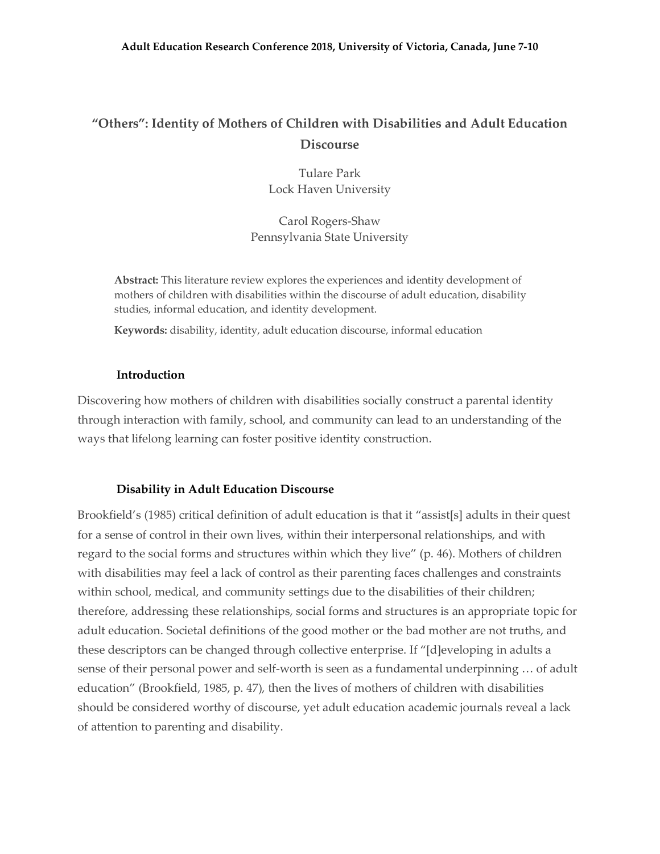# **"Others": Identity of Mothers of Children with Disabilities and Adult Education Discourse**

Tulare Park Lock Haven University

Carol Rogers-Shaw Pennsylvania State University

**Abstract:** This literature review explores the experiences and identity development of mothers of children with disabilities within the discourse of adult education, disability studies, informal education, and identity development.

**Keywords:** disability, identity, adult education discourse, informal education

## **Introduction**

Discovering how mothers of children with disabilities socially construct a parental identity through interaction with family, school, and community can lead to an understanding of the ways that lifelong learning can foster positive identity construction.

#### **Disability in Adult Education Discourse**

Brookfield's (1985) critical definition of adult education is that it "assist[s] adults in their quest for a sense of control in their own lives, within their interpersonal relationships, and with regard to the social forms and structures within which they live" (p. 46). Mothers of children with disabilities may feel a lack of control as their parenting faces challenges and constraints within school, medical, and community settings due to the disabilities of their children; therefore, addressing these relationships, social forms and structures is an appropriate topic for adult education. Societal definitions of the good mother or the bad mother are not truths, and these descriptors can be changed through collective enterprise. If "[d]eveloping in adults a sense of their personal power and self-worth is seen as a fundamental underpinning … of adult education" (Brookfield, 1985, p. 47), then the lives of mothers of children with disabilities should be considered worthy of discourse, yet adult education academic journals reveal a lack of attention to parenting and disability.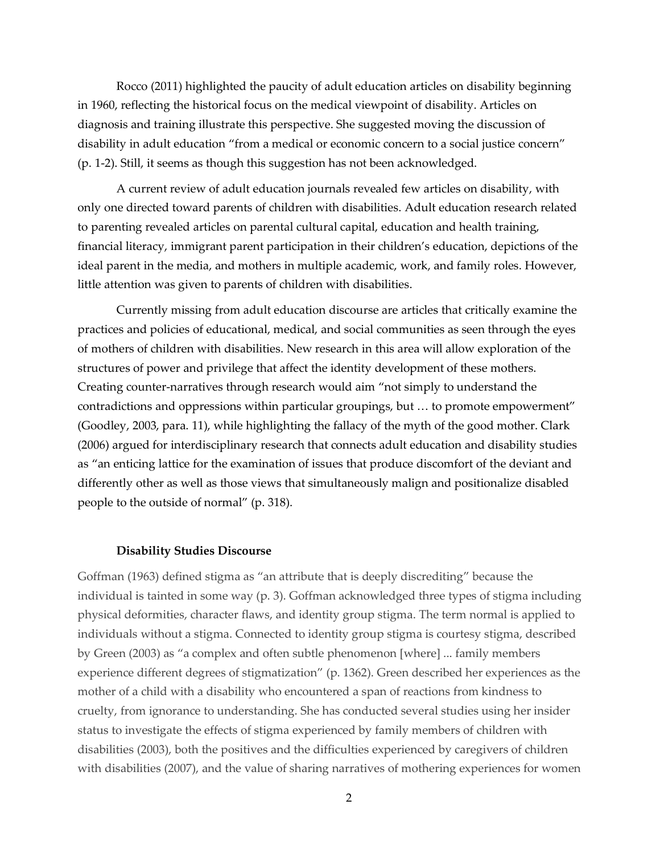Rocco (2011) highlighted the paucity of adult education articles on disability beginning in 1960, reflecting the historical focus on the medical viewpoint of disability. Articles on diagnosis and training illustrate this perspective. She suggested moving the discussion of disability in adult education "from a medical or economic concern to a social justice concern" (p. 1-2). Still, it seems as though this suggestion has not been acknowledged.

A current review of adult education journals revealed few articles on disability, with only one directed toward parents of children with disabilities. Adult education research related to parenting revealed articles on parental cultural capital, education and health training, financial literacy, immigrant parent participation in their children's education, depictions of the ideal parent in the media, and mothers in multiple academic, work, and family roles. However, little attention was given to parents of children with disabilities.

Currently missing from adult education discourse are articles that critically examine the practices and policies of educational, medical, and social communities as seen through the eyes of mothers of children with disabilities. New research in this area will allow exploration of the structures of power and privilege that affect the identity development of these mothers. Creating counter-narratives through research would aim "not simply to understand the contradictions and oppressions within particular groupings, but … to promote empowerment" (Goodley, 2003, para. 11), while highlighting the fallacy of the myth of the good mother. Clark (2006) argued for interdisciplinary research that connects adult education and disability studies as "an enticing lattice for the examination of issues that produce discomfort of the deviant and differently other as well as those views that simultaneously malign and positionalize disabled people to the outside of normal" (p. 318).

#### **Disability Studies Discourse**

Goffman (1963) defined stigma as "an attribute that is deeply discrediting" because the individual is tainted in some way (p. 3). Goffman acknowledged three types of stigma including physical deformities, character flaws, and identity group stigma. The term normal is applied to individuals without a stigma. Connected to identity group stigma is courtesy stigma, described by Green (2003) as "a complex and often subtle phenomenon [where] ... family members experience different degrees of stigmatization" (p. 1362). Green described her experiences as the mother of a child with a disability who encountered a span of reactions from kindness to cruelty, from ignorance to understanding. She has conducted several studies using her insider status to investigate the effects of stigma experienced by family members of children with disabilities (2003), both the positives and the difficulties experienced by caregivers of children with disabilities (2007), and the value of sharing narratives of mothering experiences for women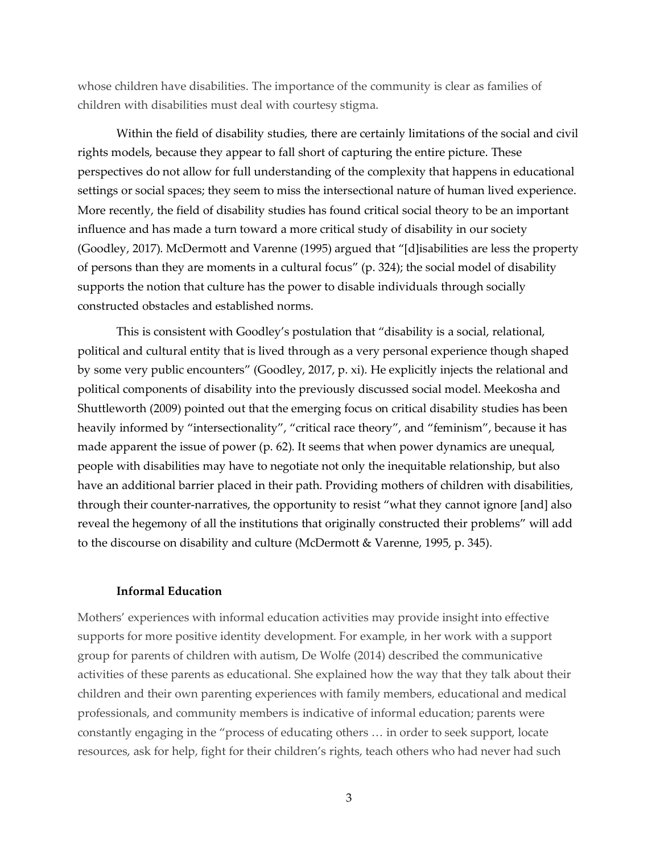whose children have disabilities. The importance of the community is clear as families of children with disabilities must deal with courtesy stigma.

Within the field of disability studies, there are certainly limitations of the social and civil rights models, because they appear to fall short of capturing the entire picture. These perspectives do not allow for full understanding of the complexity that happens in educational settings or social spaces; they seem to miss the intersectional nature of human lived experience. More recently, the field of disability studies has found critical social theory to be an important influence and has made a turn toward a more critical study of disability in our society (Goodley, 2017). McDermott and Varenne (1995) argued that "[d]isabilities are less the property of persons than they are moments in a cultural focus" (p. 324); the social model of disability supports the notion that culture has the power to disable individuals through socially constructed obstacles and established norms.

This is consistent with Goodley's postulation that "disability is a social, relational, political and cultural entity that is lived through as a very personal experience though shaped by some very public encounters" (Goodley, 2017, p. xi). He explicitly injects the relational and political components of disability into the previously discussed social model. Meekosha and Shuttleworth (2009) pointed out that the emerging focus on critical disability studies has been heavily informed by "intersectionality", "critical race theory", and "feminism", because it has made apparent the issue of power (p. 62). It seems that when power dynamics are unequal, people with disabilities may have to negotiate not only the inequitable relationship, but also have an additional barrier placed in their path. Providing mothers of children with disabilities, through their counter-narratives, the opportunity to resist "what they cannot ignore [and] also reveal the hegemony of all the institutions that originally constructed their problems" will add to the discourse on disability and culture (McDermott & Varenne, 1995, p. 345).

#### **Informal Education**

Mothers' experiences with informal education activities may provide insight into effective supports for more positive identity development. For example, in her work with a support group for parents of children with autism, De Wolfe (2014) described the communicative activities of these parents as educational. She explained how the way that they talk about their children and their own parenting experiences with family members, educational and medical professionals, and community members is indicative of informal education; parents were constantly engaging in the "process of educating others … in order to seek support, locate resources, ask for help, fight for their children's rights, teach others who had never had such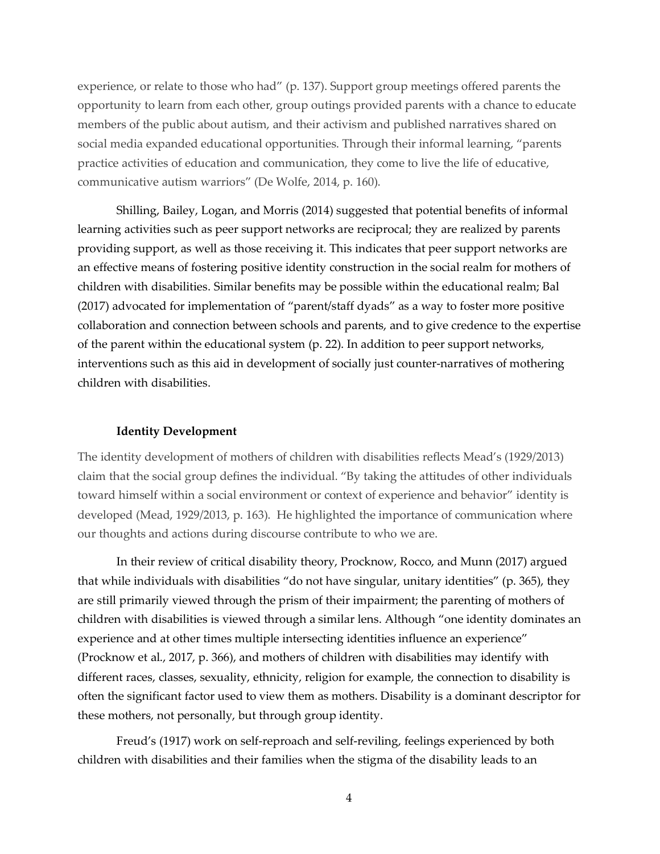experience, or relate to those who had" (p. 137). Support group meetings offered parents the opportunity to learn from each other, group outings provided parents with a chance to educate members of the public about autism, and their activism and published narratives shared on social media expanded educational opportunities. Through their informal learning, "parents practice activities of education and communication, they come to live the life of educative, communicative autism warriors" (De Wolfe, 2014, p. 160).

Shilling, Bailey, Logan, and Morris (2014) suggested that potential benefits of informal learning activities such as peer support networks are reciprocal; they are realized by parents providing support, as well as those receiving it. This indicates that peer support networks are an effective means of fostering positive identity construction in the social realm for mothers of children with disabilities. Similar benefits may be possible within the educational realm; Bal (2017) advocated for implementation of "parent/staff dyads" as a way to foster more positive collaboration and connection between schools and parents, and to give credence to the expertise of the parent within the educational system (p. 22). In addition to peer support networks, interventions such as this aid in development of socially just counter-narratives of mothering children with disabilities.

#### **Identity Development**

The identity development of mothers of children with disabilities reflects Mead's (1929/2013) claim that the social group defines the individual. "By taking the attitudes of other individuals toward himself within a social environment or context of experience and behavior" identity is developed (Mead, 1929/2013, p. 163). He highlighted the importance of communication where our thoughts and actions during discourse contribute to who we are.

In their review of critical disability theory, Procknow, Rocco, and Munn (2017) argued that while individuals with disabilities "do not have singular, unitary identities" (p. 365), they are still primarily viewed through the prism of their impairment; the parenting of mothers of children with disabilities is viewed through a similar lens. Although "one identity dominates an experience and at other times multiple intersecting identities influence an experience" (Procknow et al., 2017, p. 366), and mothers of children with disabilities may identify with different races, classes, sexuality, ethnicity, religion for example, the connection to disability is often the significant factor used to view them as mothers. Disability is a dominant descriptor for these mothers, not personally, but through group identity.

Freud's (1917) work on self-reproach and self-reviling, feelings experienced by both children with disabilities and their families when the stigma of the disability leads to an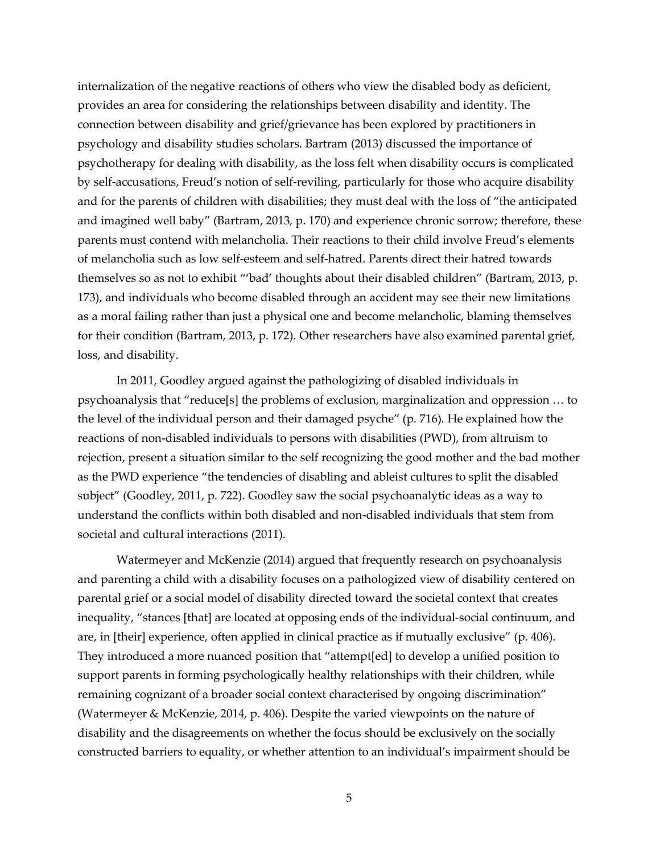internalization of the negative reactions of others who view the disabled body as deficient, provides an area for considering the relationships between disability and identity. The connection between disability and grief/grievance has been explored by practitioners in psychology and disability studies scholars. Bartram (2013) discussed the importance of psychotherapy for dealing with disability, as the loss felt when disability occurs is complicated by self-accusations, Freud's notion of self-reviling, particularly for those who acquire disability and for the parents of children with disabilities; they must deal with the loss of "the anticipated and imagined well baby" (Bartram, 2013, p. 170) and experience chronic sorrow; therefore, these parents must contend with melancholia. Their reactions to their child involve Freud's elements of melancholia such as low self-esteem and self-hatred. Parents direct their hatred towards themselves so as not to exhibit "'bad' thoughts about their disabled children" (Bartram, 2013, p. 173), and individuals who become disabled through an accident may see their new limitations as a moral failing rather than just a physical one and become melancholic, blaming themselves for their condition (Bartram, 2013, p. 172). Other researchers have also examined parental grief, loss, and disability.

In 2011, Goodley argued against the pathologizing of disabled individuals in psychoanalysis that "reduce[s] the problems of exclusion, marginalization and oppression … to the level of the individual person and their damaged psyche" (p. 716). He explained how the reactions of non-disabled individuals to persons with disabilities (PWD), from altruism to rejection, present a situation similar to the self recognizing the good mother and the bad mother as the PWD experience "the tendencies of disabling and ableist cultures to split the disabled subject" (Goodley, 2011, p. 722). Goodley saw the social psychoanalytic ideas as a way to understand the conflicts within both disabled and non-disabled individuals that stem from societal and cultural interactions (2011).

Watermeyer and McKenzie (2014) argued that frequently research on psychoanalysis and parenting a child with a disability focuses on a pathologized view of disability centered on parental grief or a social model of disability directed toward the societal context that creates inequality, "stances [that] are located at opposing ends of the individual-social continuum, and are, in [their] experience, often applied in clinical practice as if mutually exclusive" (p. 406). They introduced a more nuanced position that "attempt[ed] to develop a unified position to support parents in forming psychologically healthy relationships with their children, while remaining cognizant of a broader social context characterised by ongoing discrimination" (Watermeyer & McKenzie, 2014, p. 406). Despite the varied viewpoints on the nature of disability and the disagreements on whether the focus should be exclusively on the socially constructed barriers to equality, or whether attention to an individual's impairment should be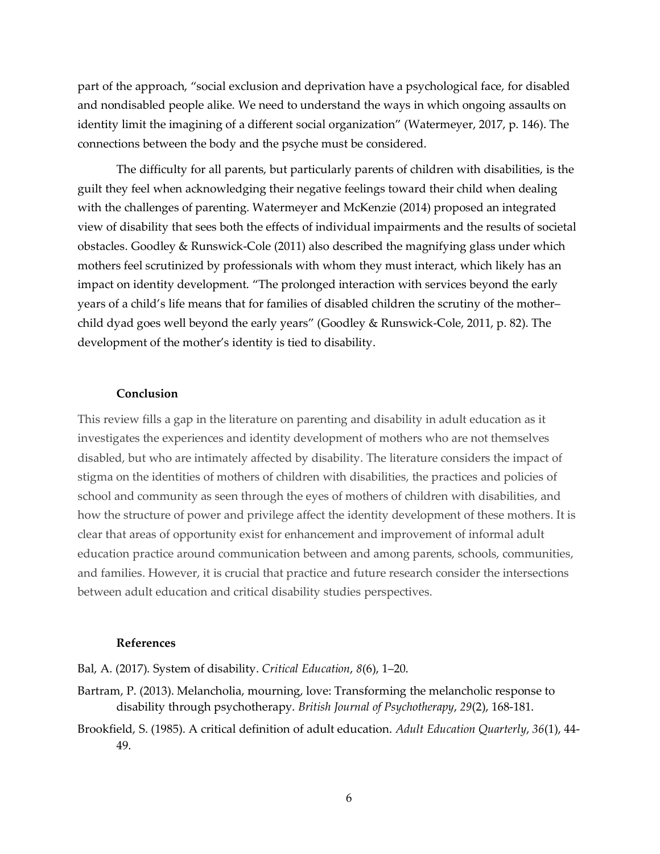part of the approach, "social exclusion and deprivation have a psychological face, for disabled and nondisabled people alike. We need to understand the ways in which ongoing assaults on identity limit the imagining of a different social organization" (Watermeyer, 2017, p. 146). The connections between the body and the psyche must be considered.

The difficulty for all parents, but particularly parents of children with disabilities, is the guilt they feel when acknowledging their negative feelings toward their child when dealing with the challenges of parenting. Watermeyer and McKenzie (2014) proposed an integrated view of disability that sees both the effects of individual impairments and the results of societal obstacles. Goodley & Runswick-Cole (2011) also described the magnifying glass under which mothers feel scrutinized by professionals with whom they must interact, which likely has an impact on identity development. "The prolonged interaction with services beyond the early years of a child's life means that for families of disabled children the scrutiny of the mother– child dyad goes well beyond the early years" (Goodley & Runswick-Cole, 2011, p. 82). The development of the mother's identity is tied to disability.

### **Conclusion**

This review fills a gap in the literature on parenting and disability in adult education as it investigates the experiences and identity development of mothers who are not themselves disabled, but who are intimately affected by disability. The literature considers the impact of stigma on the identities of mothers of children with disabilities, the practices and policies of school and community as seen through the eyes of mothers of children with disabilities, and how the structure of power and privilege affect the identity development of these mothers. It is clear that areas of opportunity exist for enhancement and improvement of informal adult education practice around communication between and among parents, schools, communities, and families. However, it is crucial that practice and future research consider the intersections between adult education and critical disability studies perspectives.

#### **References**

Bal, A. (2017). System of disability. *Critical Education*, *8*(6), 1–20.

- Bartram, P. (2013). Melancholia, mourning, love: Transforming the melancholic response to disability through psychotherapy. *British Journal of Psychotherapy*, *29*(2), 168-181.
- Brookfield, S. (1985). A critical definition of adult education. *Adult Education Quarterly*, *36*(1), 44- 49.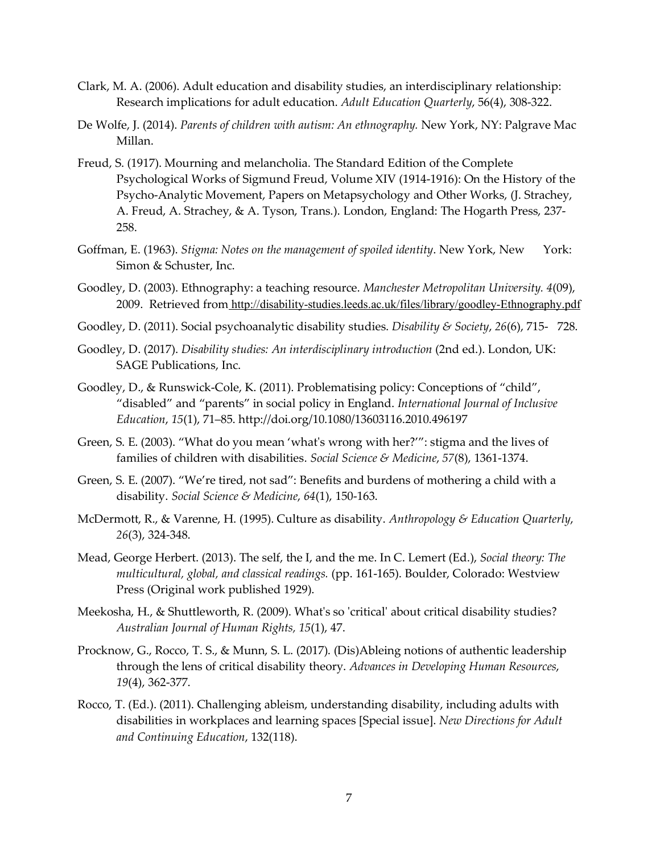- Clark, M. A. (2006). Adult education and disability studies, an interdisciplinary relationship: Research implications for adult education. *Adult Education Quarterly*, 56(4), 308-322.
- De Wolfe, J. (2014). *Parents of children with autism: An ethnography.* New York, NY: Palgrave Mac Millan.
- Freud, S. (1917). Mourning and melancholia. The Standard Edition of the Complete Psychological Works of Sigmund Freud, Volume XIV (1914-1916): On the History of the Psycho-Analytic Movement, Papers on Metapsychology and Other Works, (J. Strachey, A. Freud, A. Strachey, & A. Tyson, Trans.). London, England: The Hogarth Press, 237- 258.
- Goffman, E. (1963). *Stigma: Notes on the management of spoiled identity*. New York, New York: Simon & Schuster, Inc.
- Goodley, D. (2003). Ethnography: a teaching resource. *Manchester Metropolitan University. 4*(09), 2009. Retrieved from http://disability-studies.leeds.ac.uk/files/library/goodley-Ethnography.pdf
- Goodley, D. (2011). Social psychoanalytic disability studies. *Disability & Society*, *26*(6), 715- 728.
- Goodley, D. (2017). *Disability studies: An interdisciplinary introduction* (2nd ed.). London, UK: SAGE Publications, Inc.
- Goodley, D., & Runswick-Cole, K. (2011). Problematising policy: Conceptions of "child", "disabled" and "parents" in social policy in England. *International Journal of Inclusive Education*, *15*(1), 71–85. http://doi.org/10.1080/13603116.2010.496197
- Green, S. E. (2003). "What do you mean 'what's wrong with her?'": stigma and the lives of families of children with disabilities. *Social Science & Medicine*, *57*(8), 1361-1374.
- Green, S. E. (2007). "We're tired, not sad": Benefits and burdens of mothering a child with a disability. *Social Science & Medicine*, *64*(1), 150-163.
- McDermott, R., & Varenne, H. (1995). Culture as disability. *Anthropology & Education Quarterly*, *26*(3), 324-348.
- Mead, George Herbert. (2013). The self, the I, and the me. In C. Lemert (Ed.), *Social theory: The multicultural, global, and classical readings.* (pp. 161-165). Boulder, Colorado: Westview Press (Original work published 1929).
- Meekosha, H., & Shuttleworth, R. (2009). What's so 'critical' about critical disability studies? *Australian Journal of Human Rights, 15*(1), 47.
- Procknow, G., Rocco, T. S., & Munn, S. L. (2017). (Dis)Ableing notions of authentic leadership through the lens of critical disability theory. *Advances in Developing Human Resources*, *19*(4), 362-377.
- Rocco, T. (Ed.). (2011). Challenging ableism, understanding disability, including adults with disabilities in workplaces and learning spaces [Special issue]. *New Directions for Adult and Continuing Education*, 132(118).